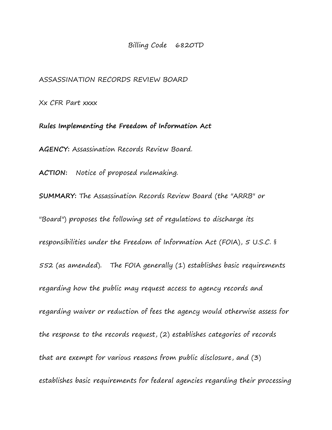Billing Code 6820TD

ASSASSINATION RECORDS REVIEW BOARD

Xx CFR Part xxxx

**Rules Implementing the Freedom of Information Act AGENCY:** Assassination Records Review Board.

**ACTION:** Notice of proposed rulemaking.

**SUMMARY:** The Assassination Records Review Board (the "ARRB" or "Board") proposes the following set of regulations to discharge its responsibilities under the Freedom of Information Act (FOIA), 5 U.S.C. § 552 (as amended). The FOIA generally (1) establishes basic requirements regarding how the public may request access to agency records and regarding waiver or reduction of fees the agency would otherwise assess for the response to the records request, (2) establishes categories of records that are exempt for various reasons from public disclosure, and (3) establishes basic requirements for federal agencies regarding their processing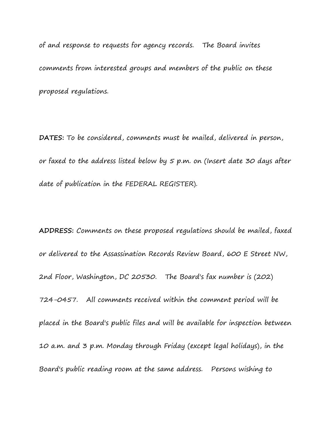of and response to requests for agency records. The Board invites comments from interested groups and members of the public on these proposed regulations.

**DATES:** To be considered, comments must be mailed, delivered in person, or faxed to the address listed below by 5 p.m. on (Insert date 30 days after date of publication in the FEDERAL REGISTER).

**ADDRESS:** Comments on these proposed regulations should be mailed, faxed or delivered to the Assassination Records Review Board, 600 E Street NW, 2nd Floor, Washington, DC 20530. The Board's fax number is (202) 724-0457. All comments received within the comment period will be placed in the Board's public files and will be available for inspection between 10 a.m. and 3 p.m. Monday through Friday (except legal holidays), in the Board's public reading room at the same address. Persons wishing to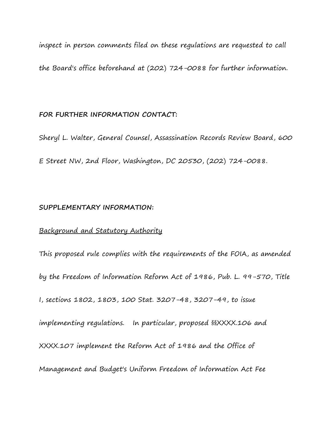inspect in person comments filed on these regulations are requested to call the Board's office beforehand at (202) 724-0088 for further information.

### **FOR FURTHER INFORMATION CONTACT:**

Sheryl L. Walter, General Counsel, Assassination Records Review Board, 600 E Street NW, 2nd Floor, Washington, DC 20530, (202) 724-0088.

## **SUPPLEMENTARY INFORMATION:**

## Background and Statutory Authority

This proposed rule complies with the requirements of the FOIA, as amended by the Freedom of Information Reform Act of 1986, Pub. L. 99-570, Title I, sections 1802, 1803, 100 Stat. 3207-48, 3207-49, to issue implementing regulations. In particular, proposed §§XXXX.106 and XXXX.107 implement the Reform Act of 1986 and the Office of Management and Budget's Uniform Freedom of Information Act Fee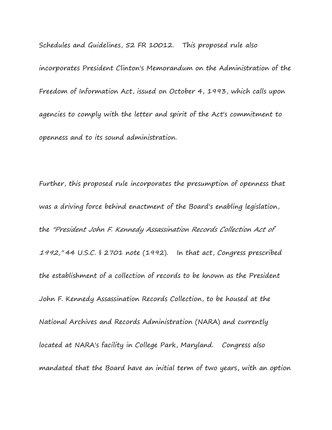Schedules and Guidelines, 52 FR 10012. This proposed rule also incorporates President Clinton's Memorandum on the Administration of the Freedom of Information Act, issued on October 4, 1993, which calls upon agencies to comply with the letter and spirit of the Act's commitment to openness and to its sound administration.

Further, this proposed rule incorporates the presumption of openness that was a driving force behind enactment of the Board's enabling legislation, the "President John F. Kennedy Assassination Records Collection Act of 1992," 44 U.S.C. § 2701 note (1992). In that act, Congress prescribed the establishment of a collection of records to be known as the President John F. Kennedy Assassination Records Collection, to be housed at the National Archives and Records Administration (NARA) and currently located at NARA's facility in College Park, Maryland. Congress also mandated that the Board have an initial term of two years, with an option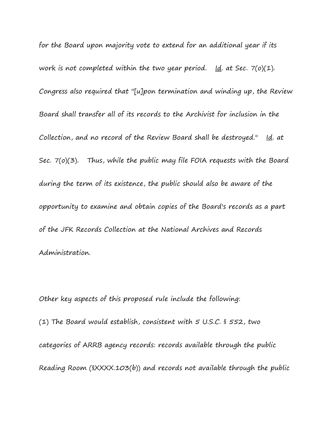for the Board upon majority vote to extend for an additional year if its work is not completed within the two year period.  $\underline{Id}$ . at Sec. 7(o)(1). Congress also required that "[u]pon termination and winding up, the Review Board shall transfer all of its records to the Archivist for inclusion in the Collection, and no record of the Review Board shall be destroyed." Id. at Sec.  $7(a)(3)$ . Thus, while the public may file FOIA requests with the Board during the term of its existence, the public should also be aware of the opportunity to examine and obtain copies of the Board's records as a part of the JFK Records Collection at the National Archives and Records Administration.

Other key aspects of this proposed rule include the following: (1) The Board would establish, consistent with 5 U.S.C. § 552, two categories of ARRB agency records: records available through the public Reading Room (§XXXX.103(b)) and records not available through the public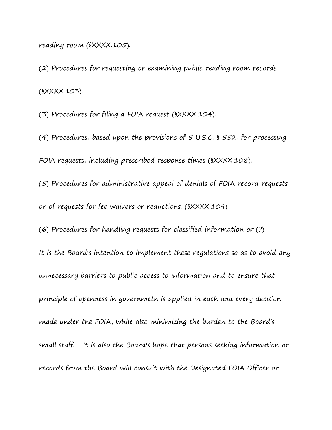reading room (§XXXX.105).

(2) Procedures for requesting or examining public reading room records (§XXXX.103).

(3) Procedures for filing a FOIA request (§XXXX.104).

(4) Procedures, based upon the provisions of 5 U.S.C. § 552, for processing FOIA requests, including prescribed response times (§XXXX.108).

(5) Procedures for administrative appeal of denials of FOIA record requests or of requests for fee waivers or reductions. (§XXXX.109).

(6) Procedures for handling requests for classified information or (?) It is the Board's intention to implement these regulations so as to avoid any unnecessary barriers to public access to information and to ensure that principle of openness in governmetn is applied in each and every decision made under the FOIA, while also minimizing the burden to the Board's small staff. It is also the Board's hope that persons seeking information or records from the Board will consult with the Designated FOIA Officer or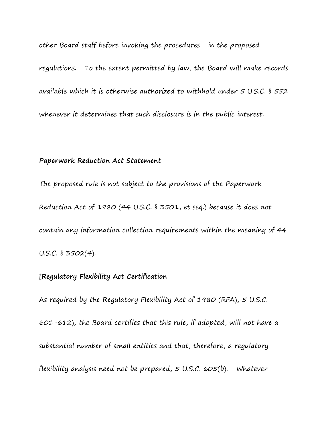other Board staff before invoking the procedures in the proposed

regulations. To the extent permitted by law, the Board will make records available which it is otherwise authorized to withhold under 5 U.S.C. § 552 whenever it determines that such disclosure is in the public interest.

#### **Paperwork Reduction Act Statement**

The proposed rule is not subject to the provisions of the Paperwork Reduction Act of 1980 (44 U.S.C. § 3501, et seq.) because it does not contain any information collection requirements within the meaning of 44 U.S.C. § 3502(4).

# **[Regulatory Flexibility Act Certification**

As required by the Regulatory Flexibility Act of 1980 (RFA), 5 U.S.C. 601-612), the Board certifies that this rule, if adopted, will not have a substantial number of small entities and that, therefore, a regulatory flexibility analysis need not be prepared, 5 U.S.C. 605(b). Whatever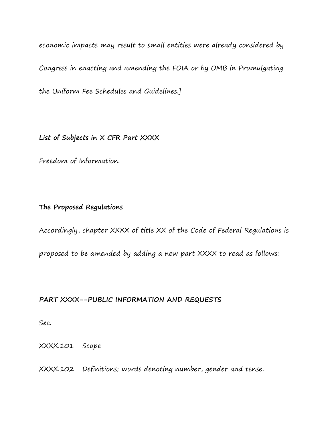economic impacts may result to small entities were already considered by Congress in enacting and amending the FOIA or by OMB in Promulgating the Uniform Fee Schedules and Guidelines.]

**List of Subjects in X CFR Part XXXX**

Freedom of Information.

# **The Proposed Regulations**

Accordingly, chapter XXXX of title XX of the Code of Federal Regulations is

proposed to be amended by adding a new part XXXX to read as follows:

# **PART XXXX--PUBLIC INFORMATION AND REQUESTS**

Sec.

XXXX.101 Scope

XXXX.102 Definitions; words denoting number, gender and tense.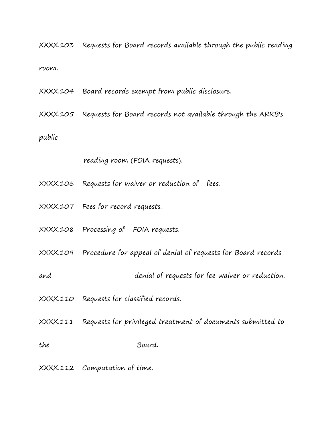XXXX.103 Requests for Board records available through the public reading room.

XXXX.104 Board records exempt from public disclosure.

XXXX.105 Requests for Board records not available through the ARRB's

public

reading room (FOIA requests).

XXXX.106 Requests for waiver or reduction of fees.

- XXXX.107 Fees for record requests.
- XXXX.108 Processing of FOIA requests.

XXXX.109 Procedure for appeal of denial of requests for Board records

and denial of requests for fee waiver or reduction.

XXXX.110 Requests for classified records.

XXXX.111 Requests for privileged treatment of documents submitted to

the Board.

XXXX.112 Computation of time.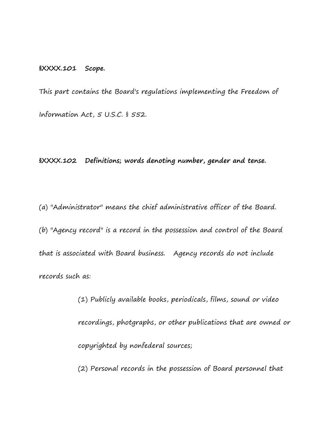#### **§XXXX.101 Scope.**

This part contains the Board's regulations implementing the Freedom of Information Act, 5 U.S.C. § 552.

**§XXXX.102 Definitions; words denoting number, gender and tense.**

(a) "Administrator" means the chief administrative officer of the Board. (b) "Agency record" is a record in the possession and control of the Board that is associated with Board business. Agency records do not include records such as:

> (1) Publicly available books, periodicals, films, sound or video recordings, photgraphs, or other publications that are owned or copyrighted by nonfederal sources;

(2) Personal records in the possession of Board personnel that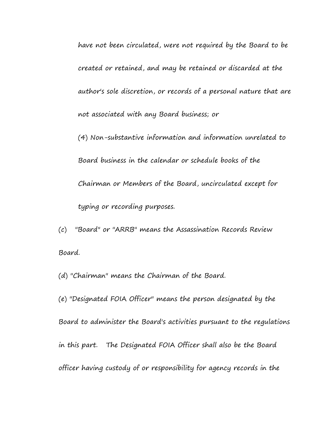have not been circulated, were not required by the Board to be created or retained, and may be retained or discarded at the author's sole discretion, or records of a personal nature that are not associated with any Board business; or

(4) Non-substantive information and information unrelated to Board business in the calendar or schedule books of the Chairman or Members of the Board, uncirculated except for typing or recording purposes.

(c) "Board" or "ARRB" means the Assassination Records Review Board.

(d) "Chairman" means the Chairman of the Board.

(e) "Designated FOIA Officer" means the person designated by the Board to administer the Board's activities pursuant to the regulations in this part. The Designated FOIA Officer shall also be the Board officer having custody of or responsibility for agency records in the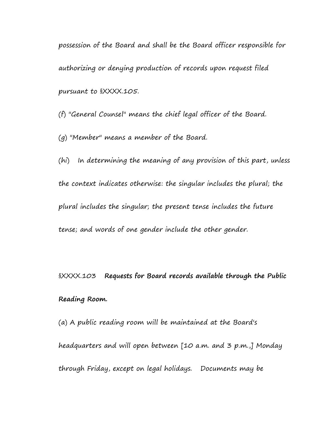possession of the Board and shall be the Board officer responsible for authorizing or denying production of records upon request filed pursuant to §XXXX.105.

(f) "General Counsel" means the chief legal officer of the Board.

(g) "Member" means a member of the Board.

(hi) In determining the meaning of any provision of this part, unless the context indicates otherwise: the singular includes the plural; the plural includes the singular; the present tense includes the future tense; and words of one gender include the other gender.

§XXXX.103 **Requests for Board records available through the Public Reading Room.**

(a) A public reading room will be maintained at the Board's headquarters and will open between [10 a.m. and 3 p.m.,] Monday through Friday, except on legal holidays. Documents may be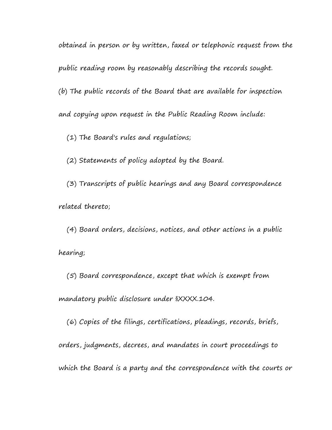obtained in person or by written, faxed or telephonic request from the public reading room by reasonably describing the records sought. (b) The public records of the Board that are available for inspection and copying upon request in the Public Reading Room include:

(1) The Board's rules and regulations;

(2) Statements of policy adopted by the Board.

 (3) Transcripts of public hearings and any Board correspondence related thereto;

 (4) Board orders, decisions, notices, and other actions in a public hearing;

 (5) Board correspondence, except that which is exempt from mandatory public disclosure under §XXXX.104.

 (6) Copies of the filings, certifications, pleadings, records, briefs, orders, judgments, decrees, and mandates in court proceedings to which the Board is a party and the correspondence with the courts or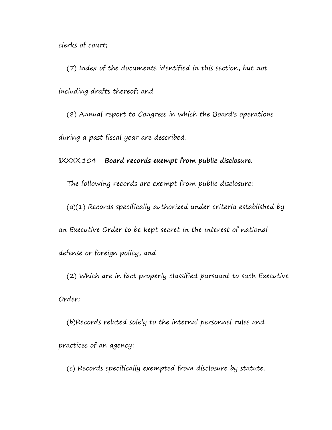clerks of court;

 (7) Index of the documents identified in this section, but not including drafts thereof; and

 (8) Annual report to Congress in which the Board's operations during a past fiscal year are described.

§XXXX.104 **Board records exempt from public disclosure.**

The following records are exempt from public disclosure:

(a)(1) Records specifically authorized under criteria established by

an Executive Order to be kept secret in the interest of national

defense or foreign policy, and

 (2) Which are in fact properly classified pursuant to such Executive Order;

 (b)Records related solely to the internal personnel rules and practices of an agency;

(c) Records specifically exempted from disclosure by statute,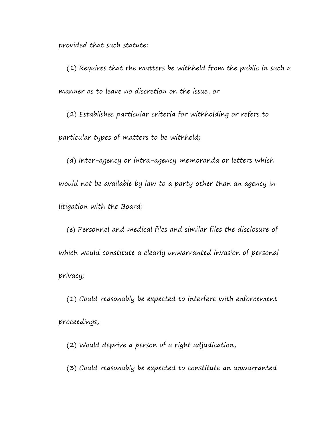provided that such statute:

 (1) Requires that the matters be withheld from the public in such a manner as to leave no discretion on the issue, or

 (2) Establishes particular criteria for withholding or refers to particular types of matters to be withheld;

 (d) Inter-agency or intra-agency memoranda or letters which would not be available by law to a party other than an agency in litigation with the Board;

 (e) Personnel and medical files and similar files the disclosure of which would constitute a clearly unwarranted invasion of personal privacy;

 (1) Could reasonably be expected to interfere with enforcement proceedings,

(2) Would deprive a person of a right adjudication,

(3) Could reasonably be expected to constitute an unwarranted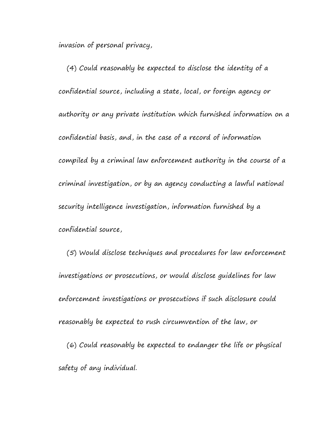invasion of personal privacy,

 (4) Could reasonably be expected to disclose the identity of a confidential source, including a state, local, or foreign agency or authority or any private institution which furnished information on a confidential basis, and, in the case of a record of information compiled by a criminal law enforcement authority in the course of a criminal investigation, or by an agency conducting a lawful national security intelligence investigation, information furnished by a confidential source,

 (5) Would disclose techniques and procedures for law enforcement investigations or prosecutions, or would disclose guidelines for law enforcement investigations or prosecutions if such disclosure could reasonably be expected to rush circumvention of the law, or

 (6) Could reasonably be expected to endanger the life or physical safety of any individual.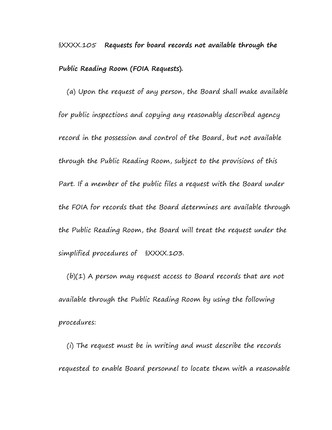§XXXX.105 **Requests for board records not available through the Public Reading Room (FOIA Requests).**

 (a) Upon the request of any person, the Board shall make available for public inspections and copying any reasonably described agency record in the possession and control of the Board, but not available through the Public Reading Room, subject to the provisions of this Part. If a member of the public files a request with the Board under the FOIA for records that the Board determines are available through the Public Reading Room, the Board will treat the request under the simplified procedures of §XXXX.103.

 $(b)(1)$  A person may request access to Board records that are not available through the Public Reading Room by using the following procedures:

 (i) The request must be in writing and must describe the records requested to enable Board personnel to locate them with a reasonable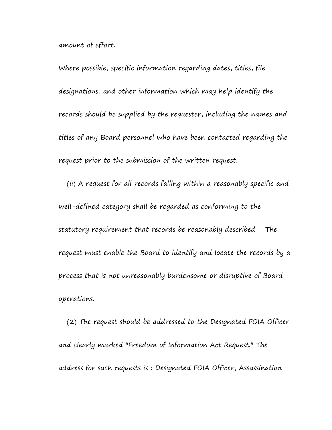amount of effort.

Where possible, specific information regarding dates, titles, file designations, and other information which may help identify the records should be supplied by the requester, including the names and titles of any Board personnel who have been contacted regarding the request prior to the submission of the written request.

 (ii) A request for all records falling within a reasonably specific and well-defined category shall be regarded as conforming to the statutory requirement that records be reasonably described. The request must enable the Board to identify and locate the records by a process that is not unreasonably burdensome or disruptive of Board operations.

 (2) The request should be addressed to the Designated FOIA Officer and clearly marked "Freedom of Information Act Request." The address for such requests is : Designated FOIA Officer, Assassination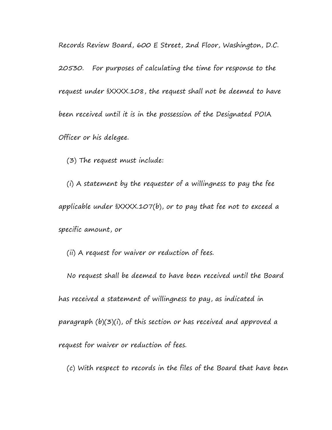Records Review Board, 600 E Street, 2nd Floor, Washington, D.C.

20530. For purposes of calculating the time for response to the request under §XXXX.108, the request shall not be deemed to have been received until it is in the possession of the Designated POIA Officer or his delegee.

(3) The request must include:

 (i) A statement by the requester of a willingness to pay the fee applicable under §XXXX.107(b), or to pay that fee not to exceed a specific amount, or

(ii) A request for waiver or reduction of fees.

 No request shall be deemed to have been received until the Board has received a statement of willingness to pay, as indicated in paragraph (b)(3)(i), of this section or has received and approved a request for waiver or reduction of fees.

(c) With respect to records in the files of the Board that have been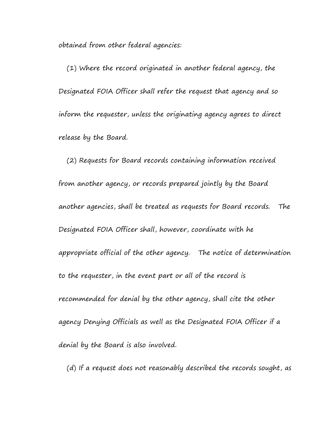obtained from other federal agencies:

 (1) Where the record originated in another federal agency, the Designated FOIA Officer shall refer the request that agency and so inform the requester, unless the originating agency agrees to direct release by the Board.

 (2) Requests for Board records containing information received from another agency, or records prepared jointly by the Board another agencies, shall be treated as requests for Board records. The Designated FOIA Officer shall, however, coordinate with he appropriate official of the other agency. The notice of determination to the requester, in the event part or all of the record is recommended for denial by the other agency, shall cite the other agency Denying Officials as well as the Designated FOIA Officer if a denial by the Board is also involved.

(d) If a request does not reasonably described the records sought, as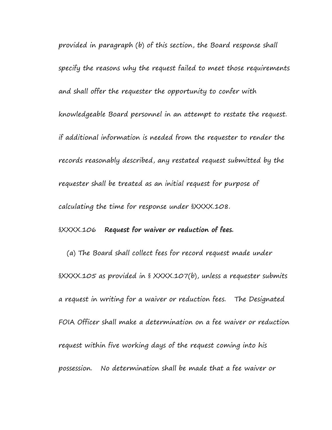provided in paragraph (b) of this section, the Board response shall specify the reasons why the request failed to meet those requirements and shall offer the requester the opportunity to confer with knowledgeable Board personnel in an attempt to restate the request. if additional information is needed from the requester to render the records reasonably described, any restated request submitted by the requester shall be treated as an initial request for purpose of calculating the time for response under §XXXX.108.

# §XXXX.106 **Request for waiver or reduction of fees.**

 (a) The Board shall collect fees for record request made under §XXXX.105 as provided in § XXXX.107(b), unless a requester submits a request in writing for a waiver or reduction fees. The Designated FOIA Officer shall make a determination on a fee waiver or reduction request within five working days of the request coming into his possession. No determination shall be made that a fee waiver or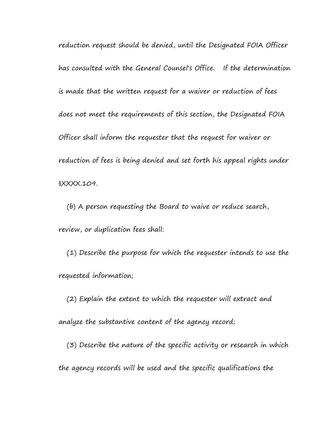reduction request should be denied, until the Designated FOIA Officer has consulted with the General Counsel's Office. If the determination is made that the written request for a waiver or reduction of fees does not meet the requirements of this section, the Designated FOIA Officer shall inform the requester that the request for waiver or reduction of fees is being denied and set forth his appeal rights under §XXXX.109.

 (b) A person requesting the Board to waive or reduce search, review, or duplication fees shall:

 (1) Describe the purpose for which the requester intends to use the requested information;

 (2) Explain the extent to which the requester will extract and analyze the substantive content of the agency record;

 (3) Describe the nature of the specific activity or research in which the agency records will be used and the specific qualifications the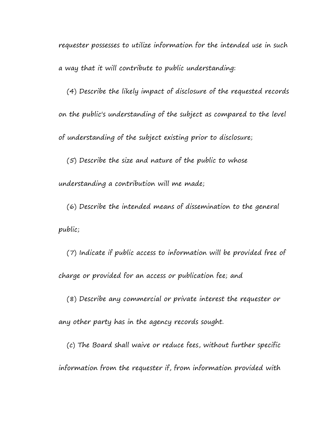requester possesses to utilize information for the intended use in such a way that it will contribute to public understanding:

 (4) Describe the likely impact of disclosure of the requested records on the public's understanding of the subject as compared to the level of understanding of the subject existing prior to disclosure;

 (5) Describe the size and nature of the public to whose understanding a contribution will me made;

 (6) Describe the intended means of dissemination to the general public;

 (7) Indicate if public access to information will be provided free of charge or provided for an access or publication fee; and

 (8) Describe any commercial or private interest the requester or any other party has in the agency records sought.

 (c) The Board shall waive or reduce fees, without further specific information from the requester if, from information provided with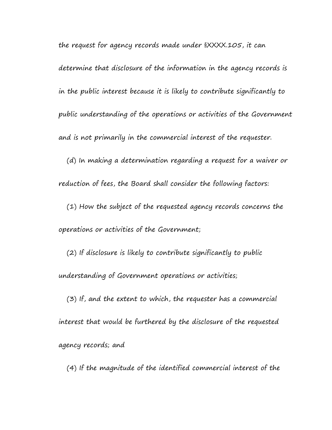determine that disclosure of the information in the agency records is in the public interest because it is likely to contribute significantly to public understanding of the operations or activities of the Government and is not primarily in the commercial interest of the requester.

the request for agency records made under §XXXX.105, it can

 (d) In making a determination regarding a request for a waiver or reduction of fees, the Board shall consider the following factors:

 (1) How the subject of the requested agency records concerns the operations or activities of the Government;

 (2) If disclosure is likely to contribute significantly to public understanding of Government operations or activities;

 (3) If, and the extent to which, the requester has a commercial interest that would be furthered by the disclosure of the requested agency records; and

(4) If the magnitude of the identified commercial interest of the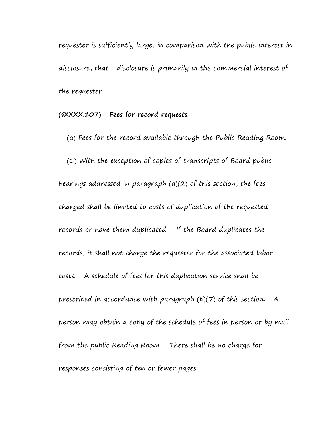requester is sufficiently large, in comparison with the public interest in disclosure, that disclosure is primarily in the commercial interest of the requester.

**(§XXXX.107) Fees for record requests.**

(a) Fees for the record available through the Public Reading Room.

(1) With the exception of copies of transcripts of Board public

hearings addressed in paragraph (a)(2) of this section, the fees charged shall be limited to costs of duplication of the requested records or have them duplicated. If the Board duplicates the records, it shall not charge the requester for the associated labor costs. A schedule of fees for this duplication service shall be prescribed in accordance with paragraph (b)(7) of this section. A person may obtain a copy of the schedule of fees in person or by mail from the public Reading Room. There shall be no charge for responses consisting of ten or fewer pages.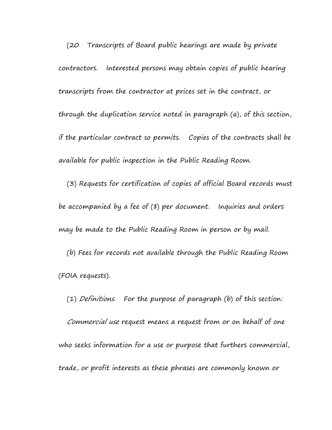(20 Transcripts of Board public hearings are made by private contractors. Interested persons may obtain copies of public hearing transcripts from the contractor at prices set in the contract, or through the duplication service noted in paragraph (a), of this section, if the particular contract so permits. Copies of the contracts shall be available for public inspection in the Public Reading Room.

 (3) Requests for certification of copies of official Board records must be accompanied by a fee of (\$) per document. Inquiries and orders may be made to the Public Reading Room in person or by mail.

 (b) Fees for records not available through the Public Reading Room (FOIA requests).

 (1) Definitions. For the purpose of paragraph (b) of this section: Commercial use request means a request from or on behalf of one who seeks information for a use or purpose that furthers commercial, trade, or profit interests as these phrases are commonly known or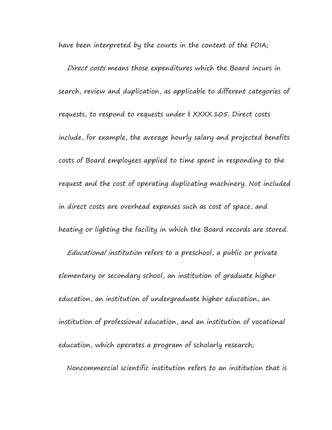have been interpreted by the courts in the context of the FOIA;

 Direct costs means those expenditures which the Board incurs in search, review and duplication, as applicable to different categories of requests, to respond to requests under § XXXX.105. Direct costs include, for example, the average hourly salary and projected benefits costs of Board employees applied to time spent in responding to the request and the cost of operating duplicating machinery. Not included in direct costs are overhead expenses such as cost of space, and heating or lighting the facility in which the Board records are stored. Educational institution refers to a preschool, a public or private elementary or secondary school, an institution of graduate higher education, an institution of undergraduate higher education, an institution of professional education, and an institution of vocational education, which operates a program of scholarly research; Noncommercial scientific institution refers to an institution that is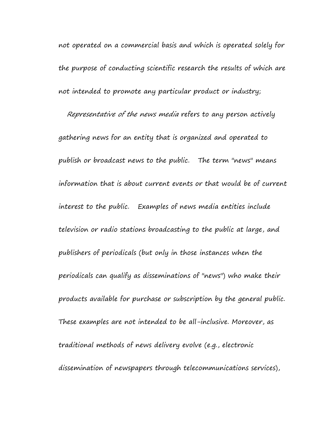not operated on a commercial basis and which is operated solely for the purpose of conducting scientific research the results of which are not intended to promote any particular product or industry;

 Representative of the news media refers to any person actively gathering news for an entity that is organized and operated to publish or broadcast news to the public. The term "news" means information that is about current events or that would be of current interest to the public. Examples of news media entities include television or radio stations broadcasting to the public at large, and publishers of periodicals (but only in those instances when the periodicals can qualify as disseminations of "news") who make their products available for purchase or subscription by the general public. These examples are not intended to be all-inclusive. Moreover, as traditional methods of news delivery evolve (e.g., electronic dissemination of newspapers through telecommunications services),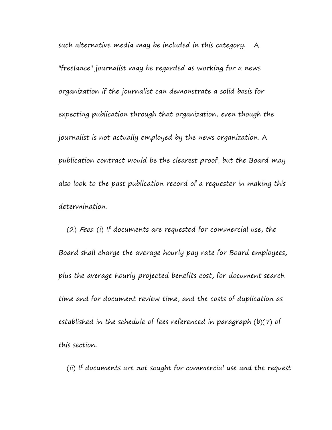such alternative media may be included in this category. A "freelance" journalist may be regarded as working for a news organization if the journalist can demonstrate a solid basis for expecting publication through that organization, even though the journalist is not actually employed by the news organization. A publication contract would be the clearest proof, but the Board may also look to the past publication record of a requester in making this determination.

 (2) Fees. (i) If documents are requested for commercial use, the Board shall charge the average hourly pay rate for Board employees, plus the average hourly projected benefits cost, for document search time and for document review time, and the costs of duplication as established in the schedule of fees referenced in paragraph (b)(7) of this section.

(ii) If documents are not sought for commercial use and the request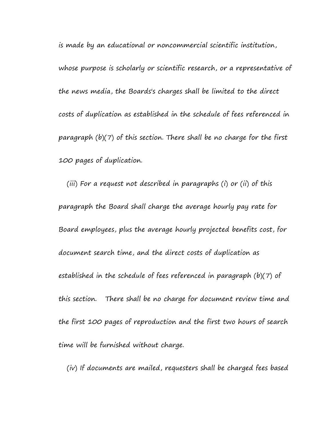is made by an educational or noncommercial scientific institution, whose purpose is scholarly or scientific research, or a representative of the news media, the Boards's charges shall be limited to the direct costs of duplication as established in the schedule of fees referenced in paragraph (b)(7) of this section. There shall be no charge for the first 100 pages of duplication.

 (iii) For a request not described in paragraphs (i) or (ii) of this paragraph the Board shall charge the average hourly pay rate for Board employees, plus the average hourly projected benefits cost, for document search time, and the direct costs of duplication as established in the schedule of fees referenced in paragraph (b)(7) of this section. There shall be no charge for document review time and the first 100 pages of reproduction and the first two hours of search time will be furnished without charge.

(iv) If documents are mailed, requesters shall be charged fees based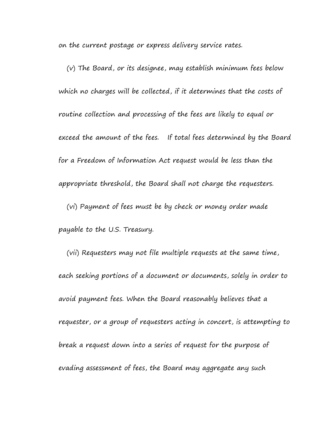on the current postage or express delivery service rates.

 (v) The Board, or its designee, may establish minimum fees below which no charges will be collected, if it determines that the costs of routine collection and processing of the fees are likely to equal or exceed the amount of the fees. If total fees determined by the Board for a Freedom of Information Act request would be less than the appropriate threshold, the Board shall not charge the requesters. (vi) Payment of fees must be by check or money order made payable to the U.S. Treasury.

 (vii) Requesters may not file multiple requests at the same time, each seeking portions of a document or documents, solely in order to avoid payment fees. When the Board reasonably believes that a requester, or a group of requesters acting in concert, is attempting to break a request down into a series of request for the purpose of evading assessment of fees, the Board may aggregate any such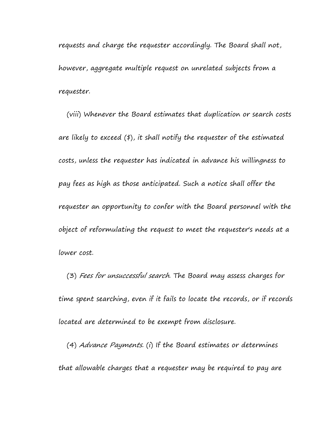requests and charge the requester accordingly. The Board shall not, however, aggregate multiple request on unrelated subjects from a requester.

 (viii) Whenever the Board estimates that duplication or search costs are likely to exceed (\$), it shall notify the requester of the estimated costs, unless the requester has indicated in advance his willingness to pay fees as high as those anticipated. Such a notice shall offer the requester an opportunity to confer with the Board personnel with the object of reformulating the request to meet the requester's needs at a lower cost.

 (3) Fees for unsuccessful search. The Board may assess charges for time spent searching, even if it fails to locate the records, or if records located are determined to be exempt from disclosure.

 (4) Advance Payments. (i) If the Board estimates or determines that allowable charges that a requester may be required to pay are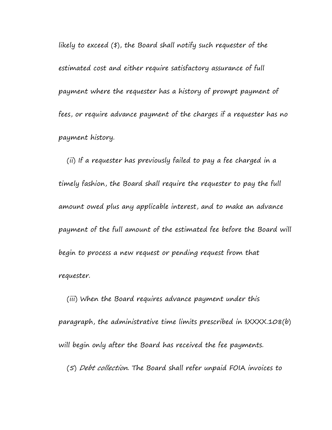likely to exceed (\$), the Board shall notify such requester of the estimated cost and either require satisfactory assurance of full payment where the requester has a history of prompt payment of fees, or require advance payment of the charges if a requester has no payment history.

 (ii) If a requester has previously failed to pay a fee charged in a timely fashion, the Board shall require the requester to pay the full amount owed plus any applicable interest, and to make an advance payment of the full amount of the estimated fee before the Board will begin to process a new request or pending request from that requester.

 (iii) When the Board requires advance payment under this paragraph, the administrative time limits prescribed in §XXXX.108(b) will begin only after the Board has received the fee payments.

(5) Debt collection. The Board shall refer unpaid FOIA invoices to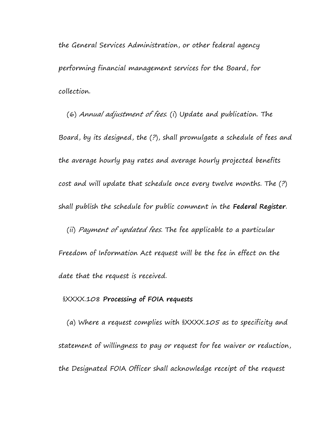the General Services Administration, or other federal agency performing financial management services for the Board, for collection.

 (6) Annual adjustment of fees. (i) Update and publication. The Board, by its designed, the (?), shall promulgate a schedule of fees and the average hourly pay rates and average hourly projected benefits cost and will update that schedule once every twelve months. The (?) shall publish the schedule for public comment in the **Federal Register**. (ii) Payment of updated fees. The fee applicable to a particular

Freedom of Information Act request will be the fee in effect on the date that the request is received.

### §XXXX.108 **Processing of FOIA requests**

 (a) Where a request complies with §XXXX.105 as to specificity and statement of willingness to pay or request for fee waiver or reduction, the Designated FOIA Officer shall acknowledge receipt of the request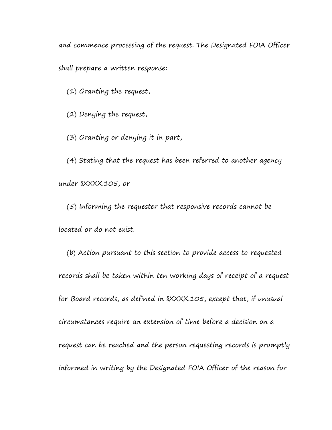and commence processing of the request. The Designated FOIA Officer

shall prepare a written response:

(1) Granting the request,

(2) Denying the request,

(3) Granting or denying it in part,

 (4) Stating that the request has been referred to another agency under §XXXX.105, or

 (5) Informing the requester that responsive records cannot be located or do not exist.

 (b) Action pursuant to this section to provide access to requested records shall be taken within ten working days of receipt of a request for Board records, as defined in §XXXX.105, except that, if unusual circumstances require an extension of time before a decision on a request can be reached and the person requesting records is promptly informed in writing by the Designated FOIA Officer of the reason for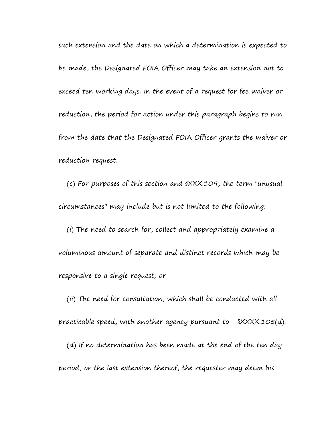such extension and the date on which a determination is expected to be made, the Designated FOIA Officer may take an extension not to exceed ten working days. In the event of a request for fee waiver or reduction, the period for action under this paragraph begins to run from the date that the Designated FOIA Officer grants the waiver or reduction request.

 (c) For purposes of this section and §XXX.109, the term "unusual circumstances" may include but is not limited to the following:

 (i) The need to search for, collect and appropriately examine a voluminous amount of separate and distinct records which may be responsive to a single request; or

 (ii) The need for consultation, which shall be conducted with all practicable speed, with another agency pursuant to §XXXX.105(d). (d) If no determination has been made at the end of the ten day period, or the last extension thereof, the requester may deem his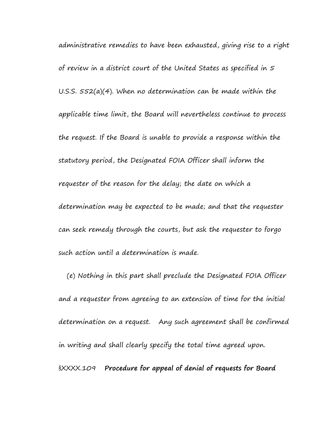administrative remedies to have been exhausted, giving rise to a right of review in a district court of the United States as specified in 5 U.S.S. 552(a)(4). When no determination can be made within the applicable time limit, the Board will nevertheless continue to process the request. If the Board is unable to provide a response within the statutory period, the Designated FOIA Officer shall inform the requester of the reason for the delay; the date on which a determination may be expected to be made; and that the requester can seek remedy through the courts, but ask the requester to forgo such action until a determination is made.

 (e) Nothing in this part shall preclude the Designated FOIA Officer and a requester from agreeing to an extension of time for the initial determination on a request. Any such agreement shall be confirmed in writing and shall clearly specify the total time agreed upon. §XXXX.109 **Procedure for appeal of denial of requests for Board**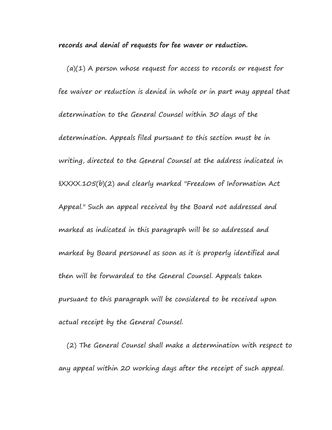**records and denial of requests for fee waver or reduction.**

 $(a)(1)$  A person whose request for access to records or request for fee waiver or reduction is denied in whole or in part may appeal that determination to the General Counsel within 30 days of the determination. Appeals filed pursuant to this section must be in writing, directed to the General Counsel at the address indicated in §XXXX.105(b)(2) and clearly marked "Freedom of Information Act Appeal." Such an appeal received by the Board not addressed and marked as indicated in this paragraph will be so addressed and marked by Board personnel as soon as it is properly identified and then will be forwarded to the General Counsel. Appeals taken pursuant to this paragraph will be considered to be received upon actual receipt by the General Counsel.

 (2) The General Counsel shall make a determination with respect to any appeal within 20 working days after the receipt of such appeal.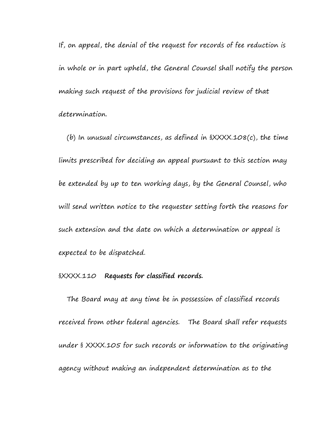If, on appeal, the denial of the request for records of fee reduction is in whole or in part upheld, the General Counsel shall notify the person making such request of the provisions for judicial review of that determination.

(b) In unusual circumstances, as defined in  $\frac{8}{2}$  $\frac{8}{2}$  $\frac{1}{0}$  $\frac{1}{0}$  the time limits prescribed for deciding an appeal pursuant to this section may be extended by up to ten working days, by the General Counsel, who will send written notice to the requester setting forth the reasons for such extension and the date on which a determination or appeal is expected to be dispatched.

## §XXXX.110 **Requests for classified records.**

 The Board may at any time be in possession of classified records received from other federal agencies. The Board shall refer requests under § XXXX.105 for such records or information to the originating agency without making an independent determination as to the